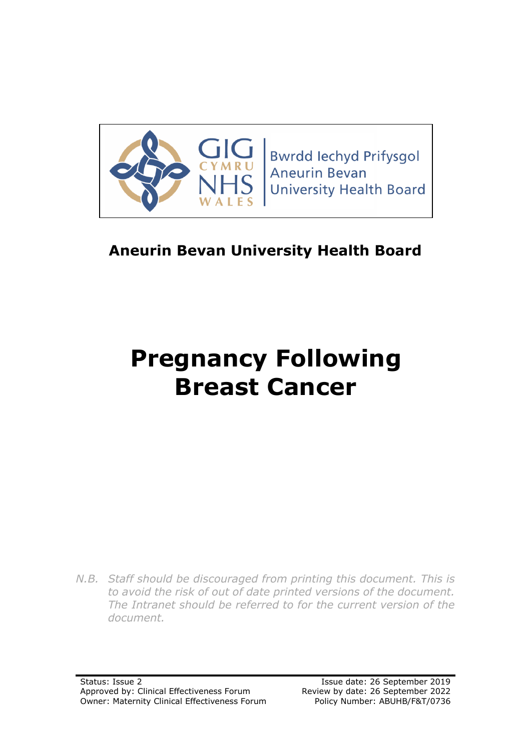

**Bwrdd lechyd Prifysgol Aneurin Bevan University Health Board** 

# **Aneurin Bevan University Health Board**

# **Pregnancy Following Breast Cancer**

*N.B. Staff should be discouraged from printing this document. This is to avoid the risk of out of date printed versions of the document. The Intranet should be referred to for the current version of the document.*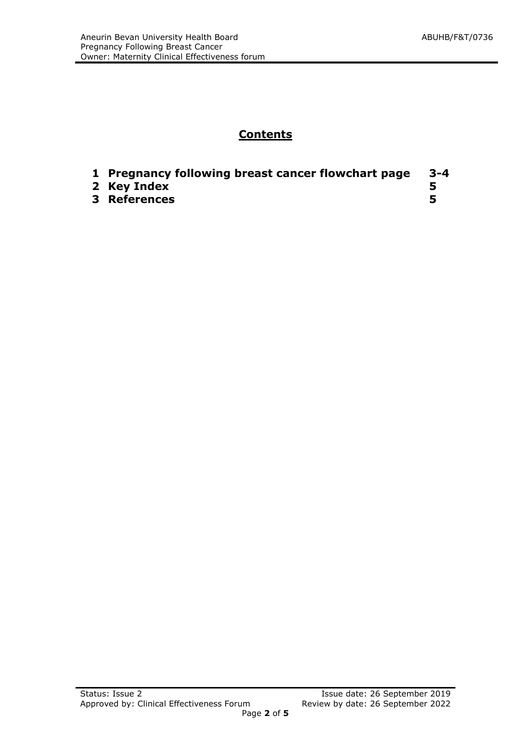### **Contents**

| 1 Pregnancy following breast cancer flowchart page | -3-4 |
|----------------------------------------------------|------|
| 2 Key Index                                        |      |
| <b>3 References</b>                                |      |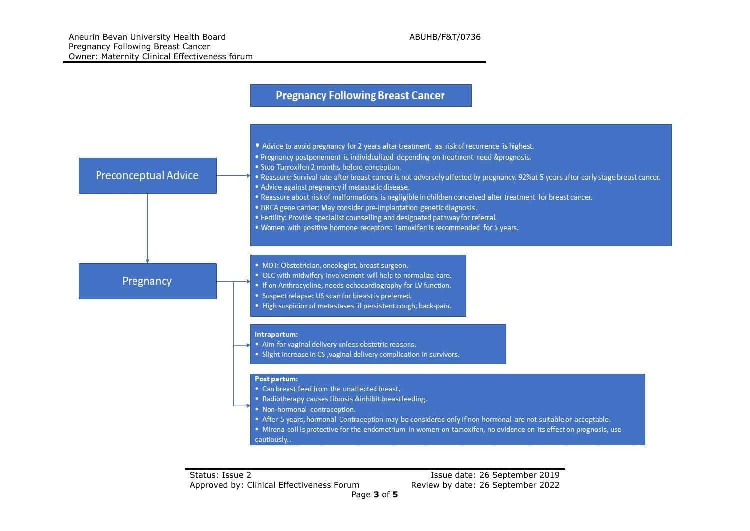#### **Pregnancy Following Breast Cancer**

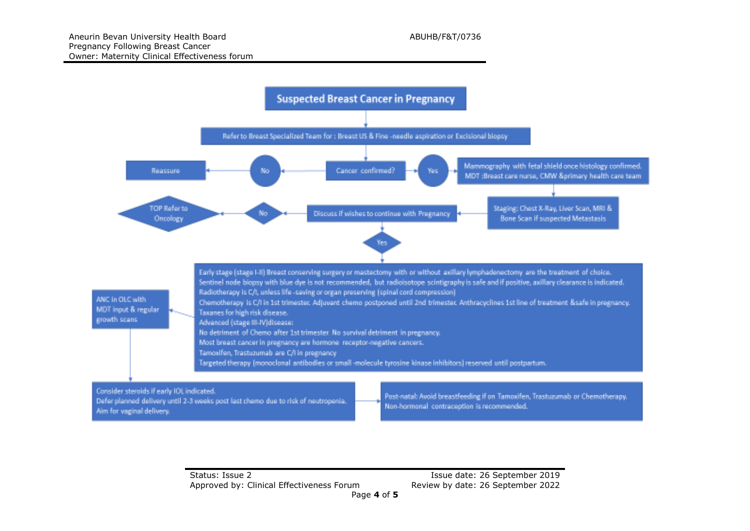

Status: Issue 2 Issue date: 26 September 2019 Approved by: Clinical Effectiveness Forum Review by date: 26 September 2022